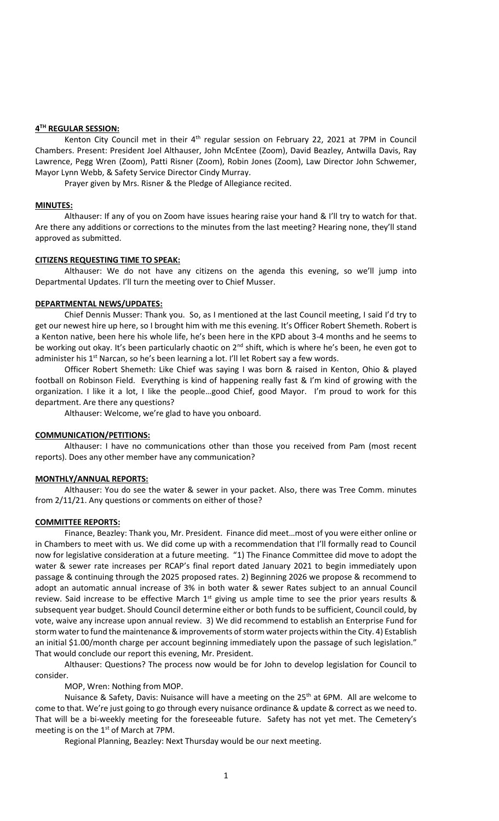## **4 TH REGULAR SESSION:**

Kenton City Council met in their  $4<sup>th</sup>$  regular session on February 22, 2021 at 7PM in Council Chambers. Present: President Joel Althauser, John McEntee (Zoom), David Beazley, Antwilla Davis, Ray Lawrence, Pegg Wren (Zoom), Patti Risner (Zoom), Robin Jones (Zoom), Law Director John Schwemer, Mayor Lynn Webb, & Safety Service Director Cindy Murray.

Prayer given by Mrs. Risner & the Pledge of Allegiance recited.

## **MINUTES:**

Althauser: If any of you on Zoom have issues hearing raise your hand & I'll try to watch for that. Are there any additions or corrections to the minutes from the last meeting? Hearing none, they'll stand approved as submitted.

## **CITIZENS REQUESTING TIME TO SPEAK:**

Althauser: We do not have any citizens on the agenda this evening, so we'll jump into Departmental Updates. I'll turn the meeting over to Chief Musser.

# **DEPARTMENTAL NEWS/UPDATES:**

Chief Dennis Musser: Thank you. So, as I mentioned at the last Council meeting, I said I'd try to get our newest hire up here, so I brought him with me this evening. It's Officer Robert Shemeth. Robert is a Kenton native, been here his whole life, he's been here in the KPD about 3-4 months and he seems to be working out okay. It's been particularly chaotic on  $2^{nd}$  shift, which is where he's been, he even got to administer his 1<sup>st</sup> Narcan, so he's been learning a lot. I'll let Robert say a few words.

Officer Robert Shemeth: Like Chief was saying I was born & raised in Kenton, Ohio & played football on Robinson Field. Everything is kind of happening really fast & I'm kind of growing with the organization. I like it a lot, I like the people…good Chief, good Mayor. I'm proud to work for this department. Are there any questions?

Althauser: Welcome, we're glad to have you onboard.

# **COMMUNICATION/PETITIONS:**

Althauser: I have no communications other than those you received from Pam (most recent reports). Does any other member have any communication?

# **MONTHLY/ANNUAL REPORTS:**

Althauser: You do see the water & sewer in your packet. Also, there was Tree Comm. minutes from 2/11/21. Any questions or comments on either of those?

### **COMMITTEE REPORTS:**

Finance, Beazley: Thank you, Mr. President. Finance did meet…most of you were either online or in Chambers to meet with us. We did come up with a recommendation that I'll formally read to Council now for legislative consideration at a future meeting. "1) The Finance Committee did move to adopt the water & sewer rate increases per RCAP's final report dated January 2021 to begin immediately upon passage & continuing through the 2025 proposed rates. 2) Beginning 2026 we propose & recommend to adopt an automatic annual increase of 3% in both water & sewer Rates subject to an annual Council review. Said increase to be effective March  $1<sup>st</sup>$  giving us ample time to see the prior years results & subsequent year budget. Should Council determine either or both funds to be sufficient, Council could, by vote, waive any increase upon annual review. 3) We did recommend to establish an Enterprise Fund for storm water to fund the maintenance & improvements of storm water projects within the City. 4) Establish an initial \$1.00/month charge per account beginning immediately upon the passage of such legislation." That would conclude our report this evening, Mr. President.

Althauser: Questions? The process now would be for John to develop legislation for Council to consider.

MOP, Wren: Nothing from MOP.

Nuisance & Safety, Davis: Nuisance will have a meeting on the 25<sup>th</sup> at 6PM. All are welcome to come to that. We're just going to go through every nuisance ordinance & update & correct as we need to. That will be a bi-weekly meeting for the foreseeable future. Safety has not yet met. The Cemetery's meeting is on the  $1<sup>st</sup>$  of March at 7PM.

Regional Planning, Beazley: Next Thursday would be our next meeting.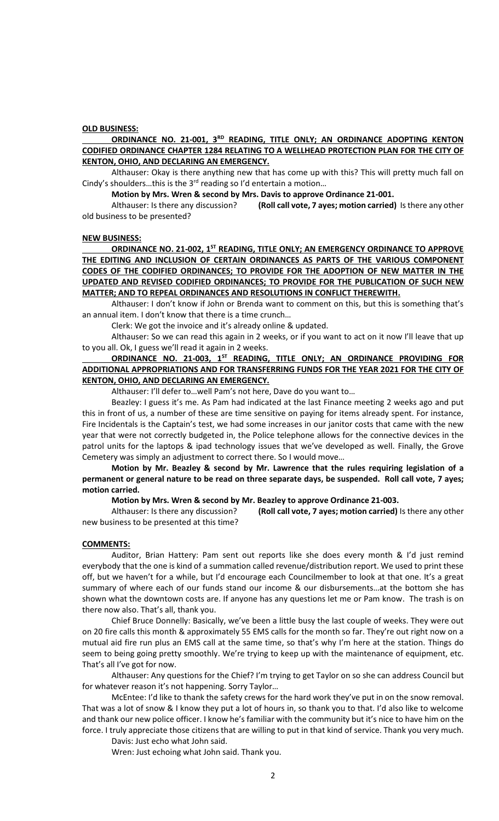## **OLD BUSINESS:**

# ORDINANCE NO. 21-001, 3<sup>RD</sup> READING, TITLE ONLY; AN ORDINANCE ADOPTING KENTON **CODIFIED ORDINANCE CHAPTER 1284 RELATING TO A WELLHEAD PROTECTION PLAN FOR THE CITY OF KENTON, OHIO, AND DECLARING AN EMERGENCY.**

Althauser: Okay is there anything new that has come up with this? This will pretty much fall on Cindy's shoulders...this is the  $3<sup>rd</sup>$  reading so I'd entertain a motion...

**Motion by Mrs. Wren & second by Mrs. Davis to approve Ordinance 21-001.**

Althauser: Is there any discussion? **(Roll call vote, 7 ayes; motion carried)** Is there any other old business to be presented?

#### **NEW BUSINESS:**

**ORDINANCE NO. 21-002, 1ST READING, TITLE ONLY; AN EMERGENCY ORDINANCE TO APPROVE THE EDITING AND INCLUSION OF CERTAIN ORDINANCES AS PARTS OF THE VARIOUS COMPONENT CODES OF THE CODIFIED ORDINANCES; TO PROVIDE FOR THE ADOPTION OF NEW MATTER IN THE UPDATED AND REVISED CODIFIED ORDINANCES; TO PROVIDE FOR THE PUBLICATION OF SUCH NEW MATTER; AND TO REPEAL ORDINANCES AND RESOLUTIONS IN CONFLICT THEREWITH.**

Althauser: I don't know if John or Brenda want to comment on this, but this is something that's an annual item. I don't know that there is a time crunch…

Clerk: We got the invoice and it's already online & updated.

Althauser: So we can read this again in 2 weeks, or if you want to act on it now I'll leave that up to you all. Ok, I guess we'll read it again in 2 weeks.

# **ORDINANCE NO. 21-003, 1ST READING, TITLE ONLY; AN ORDINANCE PROVIDING FOR ADDITIONAL APPROPRIATIONS AND FOR TRANSFERRING FUNDS FOR THE YEAR 2021 FOR THE CITY OF KENTON, OHIO, AND DECLARING AN EMERGENCY.**

Althauser: I'll defer to…well Pam's not here, Dave do you want to…

Beazley: I guess it's me. As Pam had indicated at the last Finance meeting 2 weeks ago and put this in front of us, a number of these are time sensitive on paying for items already spent. For instance, Fire Incidentals is the Captain's test, we had some increases in our janitor costs that came with the new year that were not correctly budgeted in, the Police telephone allows for the connective devices in the patrol units for the laptops & ipad technology issues that we've developed as well. Finally, the Grove Cemetery was simply an adjustment to correct there. So I would move…

**Motion by Mr. Beazley & second by Mr. Lawrence that the rules requiring legislation of a permanent or general nature to be read on three separate days, be suspended. Roll call vote, 7 ayes; motion carried.**

**Motion by Mrs. Wren & second by Mr. Beazley to approve Ordinance 21-003.**

Althauser: Is there any discussion? **(Roll call vote, 7 ayes; motion carried)** Is there any other new business to be presented at this time?

### **COMMENTS:**

Auditor, Brian Hattery: Pam sent out reports like she does every month & I'd just remind everybody that the one is kind of a summation called revenue/distribution report. We used to print these off, but we haven't for a while, but I'd encourage each Councilmember to look at that one. It's a great summary of where each of our funds stand our income & our disbursements…at the bottom she has shown what the downtown costs are. If anyone has any questions let me or Pam know. The trash is on there now also. That's all, thank you.

Chief Bruce Donnelly: Basically, we've been a little busy the last couple of weeks. They were out on 20 fire calls this month & approximately 55 EMS calls for the month so far. They're out right now on a mutual aid fire run plus an EMS call at the same time, so that's why I'm here at the station. Things do seem to being going pretty smoothly. We're trying to keep up with the maintenance of equipment, etc. That's all I've got for now.

Althauser: Any questions for the Chief? I'm trying to get Taylor on so she can address Council but for whatever reason it's not happening. Sorry Taylor…

McEntee: I'd like to thank the safety crews for the hard work they've put in on the snow removal. That was a lot of snow & I know they put a lot of hours in, so thank you to that. I'd also like to welcome and thank our new police officer. I know he's familiar with the community but it's nice to have him on the force. I truly appreciate those citizens that are willing to put in that kind of service. Thank you very much.

Davis: Just echo what John said.

Wren: Just echoing what John said. Thank you.